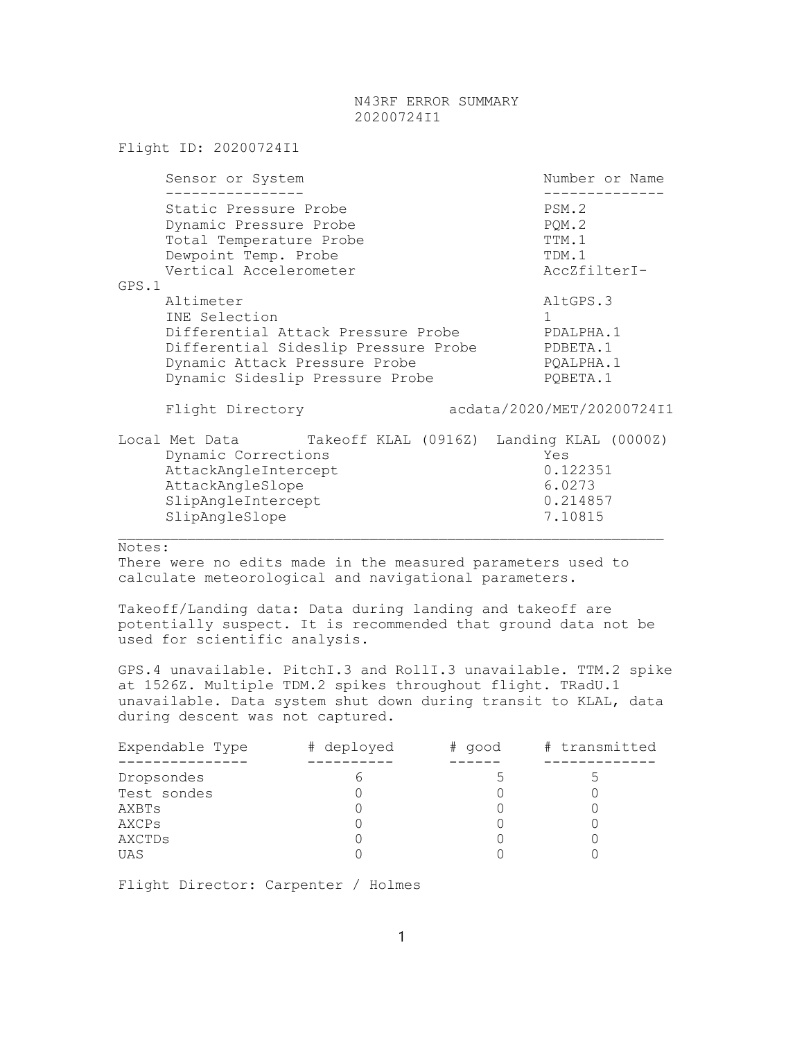## N43RF ERROR SUMMARY 20200724I1

|       | Flight ID: 20200724I1                                                                                                                                                        |  |                                                  |                                                                            |                                                  |  |  |
|-------|------------------------------------------------------------------------------------------------------------------------------------------------------------------------------|--|--------------------------------------------------|----------------------------------------------------------------------------|--------------------------------------------------|--|--|
|       | Sensor or System                                                                                                                                                             |  |                                                  |                                                                            | Number or Name                                   |  |  |
| GPS.1 | Static Pressure Probe<br>Dynamic Pressure Probe<br>Total Temperature Probe<br>Dewpoint Temp. Probe<br>Vertical Accelerometer                                                 |  | PSM.2<br>PQM.2<br>TTM.1<br>TDM.1<br>AccZfilterI- |                                                                            |                                                  |  |  |
|       | Altimeter<br>INE Selection<br>Differential Attack Pressure Probe<br>Differential Sideslip Pressure Probe<br>Dynamic Attack Pressure Probe<br>Dynamic Sideslip Pressure Probe |  |                                                  | AltGPS.3<br>$\mathbf{1}$<br>PDALPHA.1<br>PDBETA.1<br>PQALPHA.1<br>PQBETA.1 |                                                  |  |  |
|       | Flight Directory                                                                                                                                                             |  |                                                  |                                                                            | acdata/2020/MET/20200724I1                       |  |  |
|       | Local Met Data Takeoff KLAL (09162) Landing KLAL (00002)<br>Dynamic Corrections<br>AttackAngleIntercept<br>AttackAngleSlope<br>SlipAngleIntercept<br>SlipAngleSlope          |  |                                                  |                                                                            | Yes<br>0.122351<br>6.0273<br>0.214857<br>7.10815 |  |  |

Notes:

There were no edits made in the measured parameters used to calculate meteorological and navigational parameters.

Takeoff/Landing data: Data during landing and takeoff are potentially suspect. It is recommended that ground data not be used for scientific analysis.

 $\_$  , and the set of the set of the set of the set of the set of the set of the set of the set of the set of the set of the set of the set of the set of the set of the set of the set of the set of the set of the set of th

GPS.4 unavailable. PitchI.3 and RollI.3 unavailable. TTM.2 spike at 1526Z. Multiple TDM.2 spikes throughout flight. TRadU.1 unavailable. Data system shut down during transit to KLAL, data during descent was not captured.

| Expendable Type | # deployed | # good | # transmitted |
|-----------------|------------|--------|---------------|
|                 |            |        |               |
| Dropsondes      |            |        |               |
| Test sondes     |            |        |               |
| AXBTs           |            |        |               |
| AXCPs           |            |        |               |
| AXCTDs          |            |        |               |
| UAS             |            |        |               |

Flight Director: Carpenter / Holmes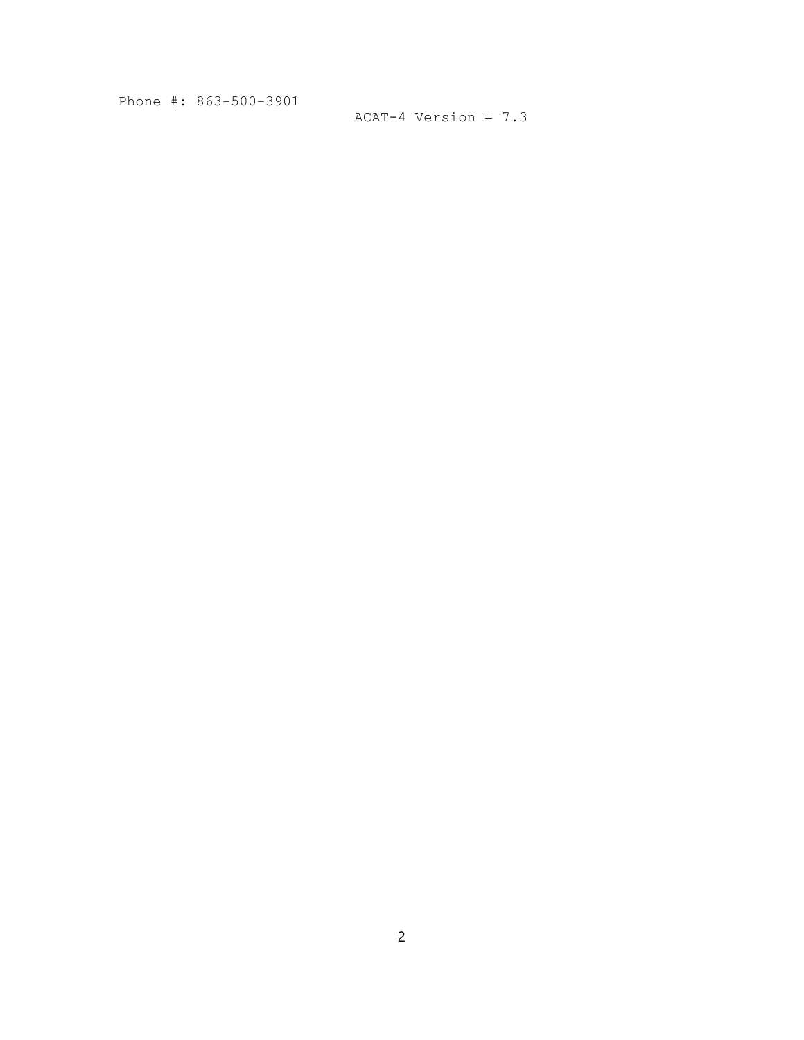Phone #: 863-500-3901

```
ACAT-4 Version = 7.3
```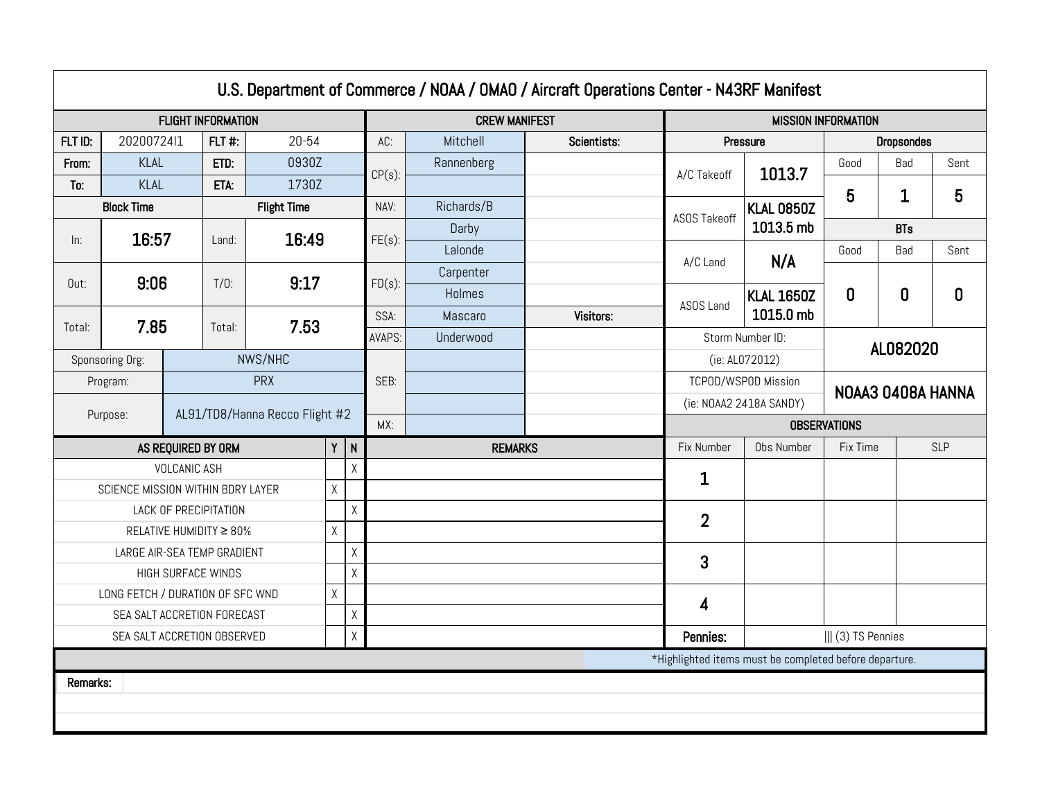|                                                        |                                   |                     |                         |                                |             |                         |                            |                | U.S. Department of Commerce / NOAA / OMAO / Aircraft Operations Center - N43RF Manifest |                                          |                     |                   |            |              |
|--------------------------------------------------------|-----------------------------------|---------------------|-------------------------|--------------------------------|-------------|-------------------------|----------------------------|----------------|-----------------------------------------------------------------------------------------|------------------------------------------|---------------------|-------------------|------------|--------------|
| <b>FLIGHT INFORMATION</b>                              |                                   |                     |                         |                                |             | <b>CREW MANIFEST</b>    | <b>MISSION INFORMATION</b> |                |                                                                                         |                                          |                     |                   |            |              |
| FLT ID:                                                | 2020072411                        |                     | $FLT$ #:                | $20 - 54$                      |             |                         | AC:                        | Mitchell       | Scientists:                                                                             |                                          | Pressure            | <b>Dropsondes</b> |            |              |
| From:                                                  | KLAL                              |                     | ETD:                    | 0930Z                          |             |                         | $CP(s)$ :                  | Rannenberg     |                                                                                         | A/C Takeoff                              | 1013.7              | Good              | Bad        | Sent         |
| To:                                                    | KLAL                              |                     | ETA:                    | 1730Z                          |             |                         |                            |                |                                                                                         |                                          |                     | 5                 | 1          | 5            |
|                                                        | <b>Block Time</b>                 |                     |                         | <b>Flight Time</b>             |             |                         | NAV:                       | Richards/B     |                                                                                         | <b>ASOS Takeoff</b>                      | <b>KLAL 0850Z</b>   |                   |            |              |
| ln:                                                    | 16:57                             |                     | Land:                   | 16:49                          |             |                         | $FE(s)$ :                  | Darby          |                                                                                         |                                          | 1013.5 mb           |                   | <b>BTs</b> |              |
|                                                        |                                   |                     |                         |                                |             |                         |                            | Lalonde        |                                                                                         | A/C Land                                 | N/A                 | Good              | Bad        | Sent         |
| Out:                                                   | 9:06                              |                     | $T/0$ :                 | 9:17                           |             |                         | $FD(s)$ :                  | Carpenter      |                                                                                         |                                          |                     |                   |            |              |
|                                                        |                                   |                     |                         |                                |             |                         |                            | Holmes         |                                                                                         | ASOS Land                                | <b>KLAL 1650Z</b>   | 0                 | 0          | $\mathbf{0}$ |
| Total:                                                 | 7.85                              |                     | Total:                  | 7.53                           |             |                         | SSA:                       | Mascaro        | Visitors:                                                                               |                                          | 1015.0 mb           |                   |            |              |
|                                                        |                                   |                     |                         |                                |             |                         | AVAPS:                     | Underwood      |                                                                                         |                                          | Storm Number ID:    |                   | AL082020   |              |
|                                                        | Sponsoring Org:                   |                     |                         | NWS/NHC                        |             |                         |                            |                |                                                                                         | (ie: AL072012)                           |                     |                   |            |              |
|                                                        | Program:                          |                     |                         | <b>PRX</b>                     |             |                         | SEB:                       |                |                                                                                         | TCPOD/WSPOD Mission<br>NOAA3 0408A HANNA |                     |                   |            |              |
|                                                        | Purpose:                          |                     |                         | AL91/TD8/Hanna Recco Flight #2 |             |                         |                            |                |                                                                                         | (ie: NOAA2 2418A SANDY)                  |                     |                   |            |              |
|                                                        |                                   |                     |                         |                                |             |                         | MX:                        |                |                                                                                         |                                          | <b>OBSERVATIONS</b> |                   |            |              |
|                                                        |                                   | AS REQUIRED BY ORM  |                         |                                |             | $Y$ N                   |                            | <b>REMARKS</b> |                                                                                         | Fix Number<br>Obs Number<br>Fix Time     |                     |                   |            | <b>SLP</b>   |
|                                                        |                                   | <b>VOLCANIC ASH</b> |                         |                                |             | $\overline{\mathsf{X}}$ |                            |                |                                                                                         | 1                                        |                     |                   |            |              |
|                                                        | SCIENCE MISSION WITHIN BDRY LAYER |                     |                         |                                | $\mathsf X$ |                         |                            |                |                                                                                         |                                          |                     |                   |            |              |
|                                                        |                                   |                     | LACK OF PRECIPITATION   |                                |             | $\sf X$                 |                            |                |                                                                                         | $\overline{2}$                           |                     |                   |            |              |
|                                                        |                                   |                     | RELATIVE HUMIDITY ≥ 80% |                                | $\sf X$     |                         |                            |                |                                                                                         |                                          |                     |                   |            |              |
|                                                        | LARGE AIR-SEA TEMP GRADIENT       |                     |                         |                                |             | χ                       |                            |                |                                                                                         | 3                                        |                     |                   |            |              |
|                                                        |                                   | HIGH SURFACE WINDS  |                         |                                |             | $\sf X$                 |                            |                |                                                                                         |                                          |                     |                   |            |              |
|                                                        | LONG FETCH / DURATION OF SFC WND  |                     |                         |                                | $\mathsf X$ |                         |                            |                |                                                                                         | 4                                        |                     |                   |            |              |
|                                                        | χ<br>SEA SALT ACCRETION FORECAST  |                     |                         |                                |             |                         |                            |                |                                                                                         |                                          |                     |                   |            |              |
|                                                        | SEA SALT ACCRETION OBSERVED       |                     |                         |                                |             | Χ                       |                            |                |                                                                                         | Pennies:                                 |                     | (3) TS Pennies    |            |              |
| *Highlighted items must be completed before departure. |                                   |                     |                         |                                |             |                         |                            |                |                                                                                         |                                          |                     |                   |            |              |
| Remarks:                                               |                                   |                     |                         |                                |             |                         |                            |                |                                                                                         |                                          |                     |                   |            |              |
|                                                        |                                   |                     |                         |                                |             |                         |                            |                |                                                                                         |                                          |                     |                   |            |              |
|                                                        |                                   |                     |                         |                                |             |                         |                            |                |                                                                                         |                                          |                     |                   |            |              |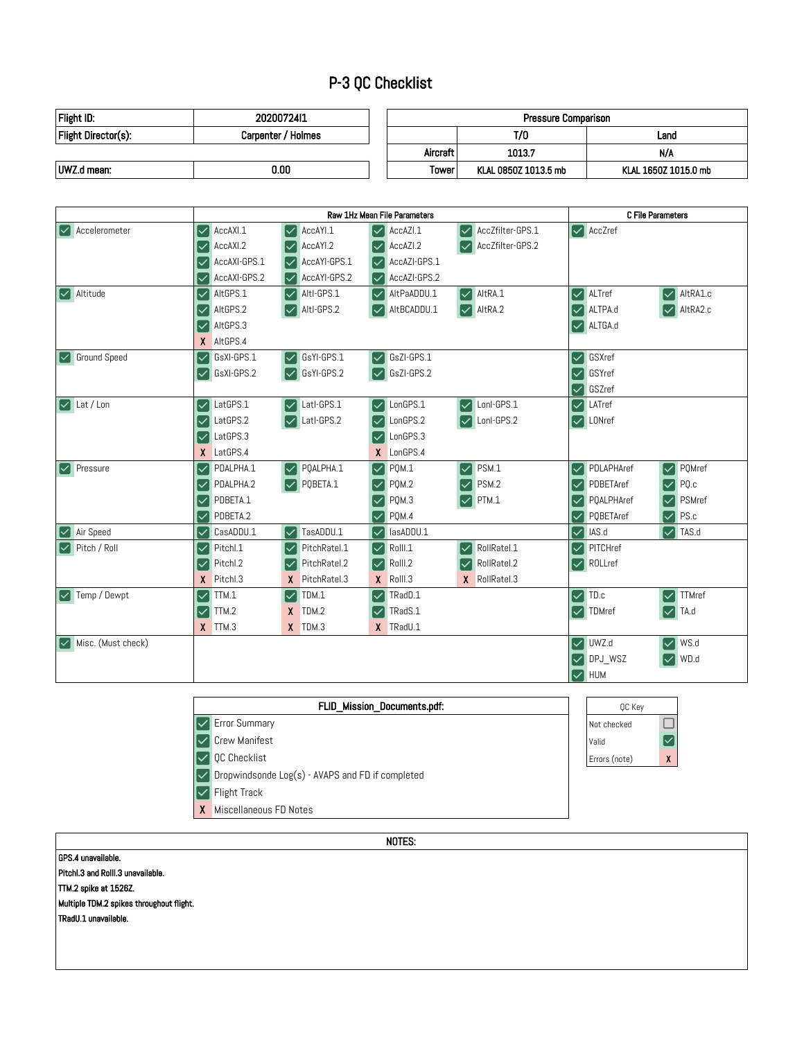## P-3 QC Checklist

| Flight ID:          | 2020072411         | Pressure Comparison |                      |                      |  |
|---------------------|--------------------|---------------------|----------------------|----------------------|--|
| Flight Director(s): | Carpenter / Holmes |                     | T/0                  | Land                 |  |
|                     |                    | Aircraft            | 1013.7               | N/A                  |  |
| UWZ.d mean:         | 0.00               | Tower               | KLAL 0850Z 1013.5 mb | KLAL 1650Z 1015.0 mb |  |

|                                    |                                     | Raw 1Hz Mean File Parameters                                                     | C File Parameters                                           |                                                                                              |  |
|------------------------------------|-------------------------------------|----------------------------------------------------------------------------------|-------------------------------------------------------------|----------------------------------------------------------------------------------------------|--|
| $\triangledown$ Accelerometer      | AccAXI.1<br>Ι∨                      | AccAYI.1<br>AccAZI.1<br>Ⅳ<br>∨                                                   | AccZfilter-GPS.1<br>$\overline{\mathsf{v}}$                 | $\vert \mathbf{v} \vert$ AccZref                                                             |  |
|                                    | AccAXI <sub>2</sub><br>$\checkmark$ | AccAYI.2<br>AccAZI.2                                                             | AccZfilter-GPS.2                                            |                                                                                              |  |
|                                    | AccAXI-GPS.1                        | AccAYI-GPS.1                                                                     | AccAZI-GPS.1                                                |                                                                                              |  |
|                                    | AccAXI-GPS.2                        | AccAYI-GPS.2                                                                     | AccAZI-GPS.2                                                |                                                                                              |  |
| $\vert \checkmark \vert$ Altitude  | AltGPS.1<br>lv                      | Altl-GPS.1<br>$\checkmark$<br>∣∨                                                 | AltRA.1<br>AltPaADDU.1<br>$\left \blacktriangledown\right $ | AltRA1.c<br>ALTref<br>$\left \blacktriangledown\right $<br>$\left \blacktriangledown\right $ |  |
|                                    | AltGPS.2                            | Altl-GPS.2                                                                       | AltRA.2<br>AltBCADDU.1                                      | $\vee$ AltRA2.c<br>ALTPA.d<br>$\left \checkmark\right $                                      |  |
|                                    | AltGPS.3                            |                                                                                  |                                                             | $\vee$ ALTGA.d                                                                               |  |
|                                    | X AltGPS.4                          |                                                                                  |                                                             |                                                                                              |  |
| <b>V</b> Ground Speed              | GsXI-GPS.1<br>lv                    | GsYI-GPS.1<br>GsZI-GPS.1<br>$\left  \mathcal{\mathcal{\mathcal{L}}}\right $<br>∨ |                                                             | GSXref<br>$\overline{\mathsf{v}}$                                                            |  |
|                                    | GsXI-GPS.2<br>∣∨                    | GsYI-GPS.2<br>GsZI-GPS.2                                                         |                                                             | GSYref<br>$\overline{\checkmark}$                                                            |  |
|                                    |                                     |                                                                                  |                                                             | GSZref<br>∨                                                                                  |  |
| $\sqrt{\phantom{a}}$ Lat / Lon     | LatGPS.1<br>Ⅳ                       | Latl-GPS.1<br>LonGPS.1<br>$\checkmark$<br>$\blacktriangledown$                   | Lonl-GPS.1<br>$\blacktriangledown$                          | LATref<br>$\left \checkmark\right $                                                          |  |
|                                    | LatGPS.2<br>l∨                      | Latl-GPS.2<br>LonGPS.2                                                           | Lonl-GPS.2                                                  | $\sqrt{\phantom{a}}$ LONref                                                                  |  |
|                                    | LatGPS.3<br>l✓                      | LonGPS.3                                                                         |                                                             |                                                                                              |  |
|                                    | X<br>LatGPS.4                       | X LonGPS.4                                                                       |                                                             |                                                                                              |  |
| <b>V</b> Pressure                  | PDALPHA.1<br>Ι✓                     | PQALPHA.1<br>PQM.1<br>lv.<br>∣✓                                                  | PSM.1<br>$\checkmark$                                       | PDLAPHAref<br>PQMref<br>$\overline{\mathsf{v}}$<br>$\left \boldsymbol{\mathsf{v}}\right $    |  |
|                                    | PDALPHA.2<br>l∨                     | PQBETA.1<br>PQM.2<br>Ⅳ<br>$\checkmark$                                           | PSM.2                                                       | PQ.c<br>PDBETAref<br>$\left \check{~}\right $<br>$\overline{\mathsf{v}}$                     |  |
|                                    | PDBETA.1<br>lv                      | PQM.3                                                                            | PTM.1                                                       | PQALPHAref<br>PSMref<br>$\left \blacktriangledown\right $<br>$\overline{\mathsf{v}}$         |  |
|                                    | PDBETA.2<br>lv                      | PQM.4<br>$\checkmark$                                                            |                                                             | PS.c<br>PQBETAref<br>$\overline{\checkmark}$<br>$\left \blacktriangledown\right $            |  |
| <b>V</b> Air Speed                 | CasADDU.1<br>lv                     | TasADDU.1<br>lasADDU.1<br>$\checkmark$<br>∣✓                                     |                                                             | IAS.d<br>$\triangledown$ TAS.d<br>$\left \boldsymbol{\mathsf{v}}\right $                     |  |
| $\sqrt{\phantom{a}}$ Pitch / Roll  | Pitchl.1<br>Ι∨                      | PitchRatel.1<br>Rolll.1<br>∣✓<br>$\overline{\mathsf{v}}$                         | RollRatel.1<br>$\left \checkmark\right $                    | PITCHref<br>$\left \checkmark\right $                                                        |  |
|                                    | Pitchl.2<br>l∨                      | PitchRatel.2<br>Rolll.2                                                          | RollRatel.2                                                 | $\vert \mathcal{V} \vert$ ROLLref                                                            |  |
|                                    | X.<br>Pitchl.3                      | PitchRatel.3<br>$X$ Rolll.3<br>X.                                                | X RollRatel.3                                               |                                                                                              |  |
| V Temp / Dewpt                     | TTM.1<br>l✓                         | TDM.1<br>TRadD.1<br>∣✓<br>∨                                                      |                                                             | $\triangledown$ TD.c<br><b>TTMref</b><br>$\vert\mathcal{V}\vert$                             |  |
|                                    | TTM.2<br>l∨                         | TDM.2<br>X.<br>TRadS.1                                                           |                                                             | $\vee$ TA.d<br>$\vert \mathbf{v} \vert$ TDMref                                               |  |
|                                    | $X$ TTM.3                           | $X$ TDM.3<br>X TRadU.1                                                           |                                                             |                                                                                              |  |
| $\triangledown$ Misc. (Must check) |                                     |                                                                                  |                                                             | $\triangledown$ UWZ.d<br>WS.d<br>✓∣                                                          |  |
|                                    |                                     |                                                                                  |                                                             | WD.d<br>$\vee$ DPJ WSZ                                                                       |  |
|                                    |                                     |                                                                                  |                                                             | $\vee$ HUM                                                                                   |  |

| FLID Mission Documents.pdf:                      | OC Key        |                  |
|--------------------------------------------------|---------------|------------------|
| <b>Error Summary</b>                             | Not checked   |                  |
| Crew Manifest                                    | Valid         | ∣∨               |
| <b>OC Checklist</b>                              | Errors (note) | $\boldsymbol{X}$ |
| Dropwindsonde Log(s) - AVAPS and FD if completed |               |                  |
| Flight Track                                     |               |                  |
| Miscellaneous FD Notes                           |               |                  |

the control of the control of the control of the control of the control of the control of

| NOTES:                                   |
|------------------------------------------|
| GPS.4 unavailable.                       |
| Pitchl.3 and Rolll.3 unavailable.        |
| TTM 2 spike at 1526Z.                    |
| Multiple TDM.2 spikes throughout flight. |
| TRadU.1 unavailable.                     |
|                                          |
|                                          |
|                                          |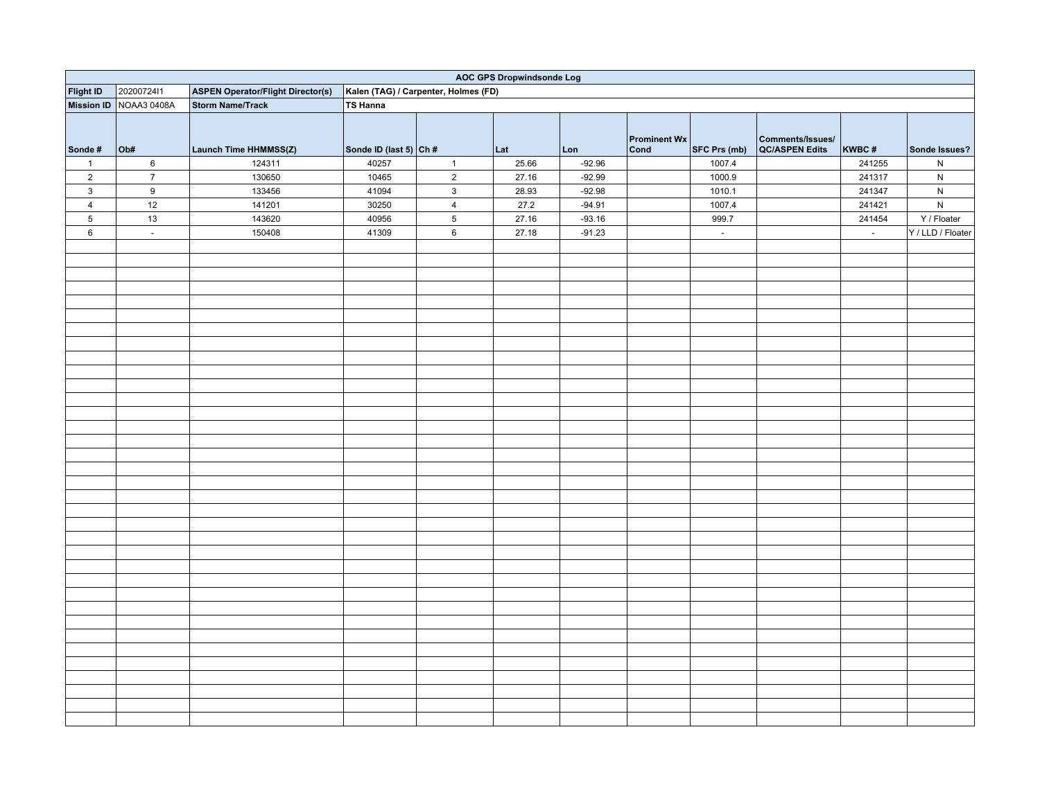|                  | <b>AOC GPS Dropwindsonde Log</b> |                                          |                                      |                         |       |          |                             |                     |                                    |                  |                   |
|------------------|----------------------------------|------------------------------------------|--------------------------------------|-------------------------|-------|----------|-----------------------------|---------------------|------------------------------------|------------------|-------------------|
| <b>Flight ID</b> | 2020072411                       | <b>ASPEN Operator/Flight Director(s)</b> | Kalen (TAG) / Carpenter, Holmes (FD) |                         |       |          |                             |                     |                                    |                  |                   |
|                  | Mission ID NOAA3 0408A           | <b>Storm Name/Track</b>                  | <b>TS Hanna</b>                      |                         |       |          |                             |                     |                                    |                  |                   |
| Sonde#           | Ob#                              | Launch Time HHMMSS(Z)                    | Sonde ID (last 5) $ Ch#$             |                         | Lat   | Lon      | <b>Prominent Wx</b><br>Cond | SFC Prs (mb)        | Comments/Issues/<br>QC/ASPEN Edits | KWBC#            | Sonde Issues?     |
| $\mathbf{1}$     | $\,6\,$                          | 124311                                   | 40257                                | $\mathbf{1}$            | 25.66 | $-92.96$ |                             | 1007.4              |                                    | 241255           | ${\sf N}$         |
| $\overline{2}$   | $\overline{7}$                   | 130650                                   | 10465                                | $\overline{2}$          | 27.16 | $-92.99$ |                             | 1000.9              |                                    | 241317           | ${\sf N}$         |
| $\mathbf{3}$     | $\boldsymbol{9}$                 | 133456                                   | 41094                                | $\mathbf{3}$            | 28.93 | $-92.98$ |                             | 1010.1              |                                    | 241347           | ${\sf N}$         |
| $\overline{4}$   | 12                               | 141201                                   | 30250                                | $\overline{\mathbf{4}}$ | 27.2  | $-94.91$ |                             | 1007.4              |                                    | 241421           | ${\sf N}$         |
| $\,$ 5 $\,$      | $13\,$                           | 143620                                   | 40956                                | $\mathbf 5$             | 27.16 | $-93.16$ |                             | 999.7               |                                    | 241454           | Y / Floater       |
| $\,6\,$          | $\mathbb{Z}^+$                   | 150408                                   | 41309                                | $\,6\,$                 | 27.18 | $-91.23$ |                             | $\mathcal{L}^{\pm}$ |                                    | $\omega_{\rm c}$ | Y / LLD / Floater |
|                  |                                  |                                          |                                      |                         |       |          |                             |                     |                                    |                  |                   |
|                  |                                  |                                          |                                      |                         |       |          |                             |                     |                                    |                  |                   |
|                  |                                  |                                          |                                      |                         |       |          |                             |                     |                                    |                  |                   |
|                  |                                  |                                          |                                      |                         |       |          |                             |                     |                                    |                  |                   |
|                  |                                  |                                          |                                      |                         |       |          |                             |                     |                                    |                  |                   |
|                  |                                  |                                          |                                      |                         |       |          |                             |                     |                                    |                  |                   |
|                  |                                  |                                          |                                      |                         |       |          |                             |                     |                                    |                  |                   |
|                  |                                  |                                          |                                      |                         |       |          |                             |                     |                                    |                  |                   |
|                  |                                  |                                          |                                      |                         |       |          |                             |                     |                                    |                  |                   |
|                  |                                  |                                          |                                      |                         |       |          |                             |                     |                                    |                  |                   |
|                  |                                  |                                          |                                      |                         |       |          |                             |                     |                                    |                  |                   |
|                  |                                  |                                          |                                      |                         |       |          |                             |                     |                                    |                  |                   |
|                  |                                  |                                          |                                      |                         |       |          |                             |                     |                                    |                  |                   |
|                  |                                  |                                          |                                      |                         |       |          |                             |                     |                                    |                  |                   |
|                  |                                  |                                          |                                      |                         |       |          |                             |                     |                                    |                  |                   |
|                  |                                  |                                          |                                      |                         |       |          |                             |                     |                                    |                  |                   |
|                  |                                  |                                          |                                      |                         |       |          |                             |                     |                                    |                  |                   |
|                  |                                  |                                          |                                      |                         |       |          |                             |                     |                                    |                  |                   |
|                  |                                  |                                          |                                      |                         |       |          |                             |                     |                                    |                  |                   |
|                  |                                  |                                          |                                      |                         |       |          |                             |                     |                                    |                  |                   |
|                  |                                  |                                          |                                      |                         |       |          |                             |                     |                                    |                  |                   |
|                  |                                  |                                          |                                      |                         |       |          |                             |                     |                                    |                  |                   |
|                  |                                  |                                          |                                      |                         |       |          |                             |                     |                                    |                  |                   |
|                  |                                  |                                          |                                      |                         |       |          |                             |                     |                                    |                  |                   |
|                  |                                  |                                          |                                      |                         |       |          |                             |                     |                                    |                  |                   |
|                  |                                  |                                          |                                      |                         |       |          |                             |                     |                                    |                  |                   |
|                  |                                  |                                          |                                      |                         |       |          |                             |                     |                                    |                  |                   |
|                  |                                  |                                          |                                      |                         |       |          |                             |                     |                                    |                  |                   |
|                  |                                  |                                          |                                      |                         |       |          |                             |                     |                                    |                  |                   |
|                  |                                  |                                          |                                      |                         |       |          |                             |                     |                                    |                  |                   |
|                  |                                  |                                          |                                      |                         |       |          |                             |                     |                                    |                  |                   |
|                  |                                  |                                          |                                      |                         |       |          |                             |                     |                                    |                  |                   |
|                  |                                  |                                          |                                      |                         |       |          |                             |                     |                                    |                  |                   |
|                  |                                  |                                          |                                      |                         |       |          |                             |                     |                                    |                  |                   |